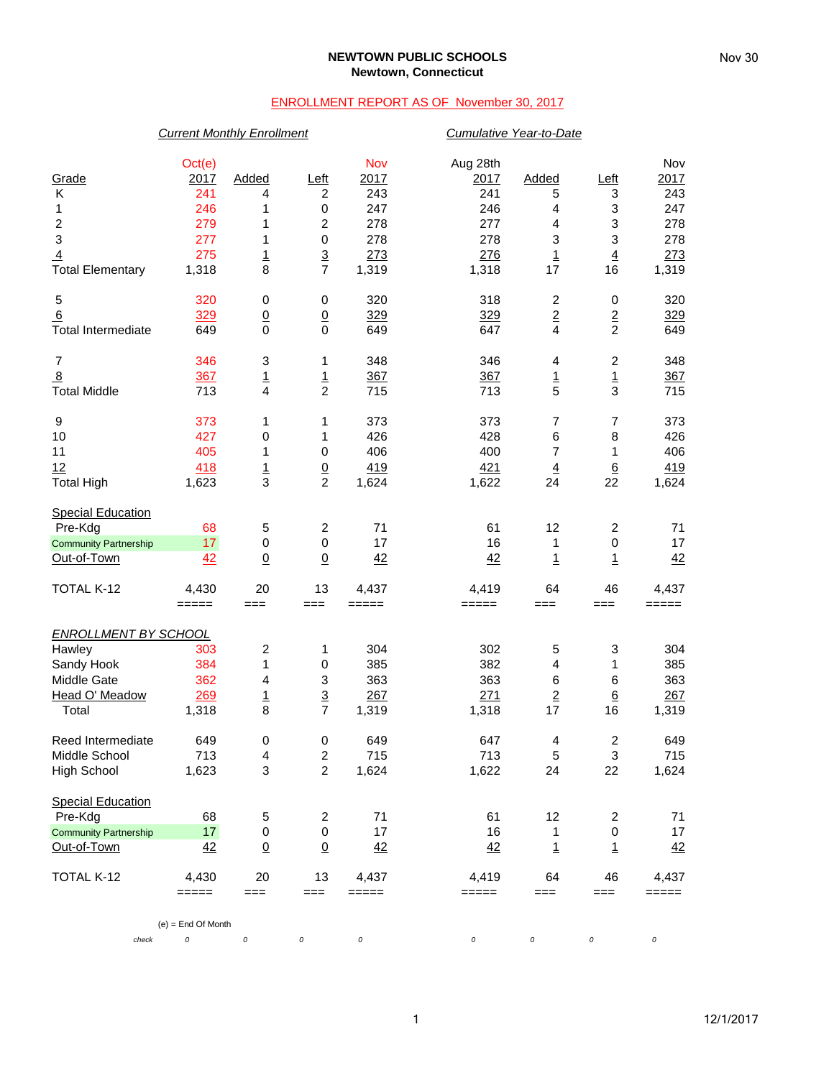### **NEWTOWN PUBLIC SCHOOLS Newtown, Connecticut**

## ENROLLMENT REPORT AS OF November 30, 2017

## *Current Monthly Enrollment Cumulative Year-to-Date*

| Grade<br>Κ<br>1<br>$\overline{\mathbf{c}}$<br>$\ensuremath{\mathsf{3}}$<br>$\overline{4}$<br><b>Total Elementary</b> | Oct(e)<br>2017<br>241<br>246<br>279<br>277<br>275<br>1,318 | Added<br>4<br>1<br>1<br>1<br>$\overline{1}$<br>8 | Left<br>$\boldsymbol{2}$<br>$\mathbf 0$<br>$\overline{c}$<br>$\mathbf 0$<br>$rac{3}{7}$ | Nov<br>2017<br>243<br>247<br>278<br>278<br>273<br>1,319 | Aug 28th<br>2017<br>241<br>246<br>277<br>278<br>276<br>1,318 | Added<br>5<br>4<br>4<br>3<br>$\overline{1}$<br>17 | <u>Left</u><br>3<br>3<br>3<br>3<br>$\overline{4}$<br>16 | Nov<br>2017<br>243<br>247<br>278<br>278<br>273<br>1,319 |
|----------------------------------------------------------------------------------------------------------------------|------------------------------------------------------------|--------------------------------------------------|-----------------------------------------------------------------------------------------|---------------------------------------------------------|--------------------------------------------------------------|---------------------------------------------------|---------------------------------------------------------|---------------------------------------------------------|
| 5<br>6<br><b>Total Intermediate</b>                                                                                  | 320<br>329<br>649                                          | 0<br>$\underline{0}$<br>0                        | 0<br>$\underline{0}$<br>$\mathbf 0$                                                     | 320<br>329<br>649                                       | 318<br>329<br>647                                            | $\overline{\mathbf{c}}$<br>$\overline{2}$<br>4    | 0<br>$\overline{2}$<br>$\overline{2}$                   | 320<br>329<br>649                                       |
| $\overline{7}$<br>$\overline{8}$<br><b>Total Middle</b>                                                              | 346<br>367<br>713                                          | 3<br><u>1</u><br>4                               | 1<br>$\overline{1}$<br>$\overline{c}$                                                   | 348<br>367<br>715                                       | 346<br>367<br>713                                            | 4<br>$\overline{1}$<br>5                          | $\boldsymbol{2}$<br>$\overline{1}$<br>3                 | 348<br>367<br>715                                       |
| 9<br>10<br>11<br>12<br><b>Total High</b>                                                                             | 373<br>427<br>405<br>418<br>1,623                          | 1<br>0<br>1<br>$\frac{1}{3}$                     | 1<br>1<br>$\mathbf 0$<br>$\frac{0}{2}$                                                  | 373<br>426<br>406<br>419<br>1,624                       | 373<br>428<br>400<br>421<br>1,622                            | 7<br>6<br>7<br>$\overline{4}$<br>24               | $\overline{7}$<br>8<br>1<br>$6\overline{6}$<br>22       | 373<br>426<br>406<br>419<br>1,624                       |
| <b>Special Education</b><br>Pre-Kdg<br><b>Community Partnership</b><br>Out-of-Town                                   | 68<br>17<br>42                                             | 5<br>$\pmb{0}$<br>$\underline{0}$                | $\overline{c}$<br>0<br>$\underline{0}$                                                  | 71<br>17<br>42                                          | 61<br>16<br>42                                               | 12<br>1<br>$\overline{1}$                         | $\boldsymbol{2}$<br>$\pmb{0}$<br>$\overline{1}$         | 71<br>17<br>42                                          |
| TOTAL K-12                                                                                                           | 4,430<br>$=====$                                           | 20<br>$==$                                       | 13<br>$==$                                                                              | 4,437<br>=====                                          | 4,419<br>=====                                               | 64<br>$==$                                        | 46<br>===                                               | 4,437<br>$=====$                                        |
| <b>ENROLLMENT BY SCHOOL</b><br>Hawley<br>Sandy Hook<br>Middle Gate<br>Head O' Meadow<br>Total                        | 303<br>384<br>362<br>269<br>1,318                          | 2<br>1<br>4<br>$\overline{1}$<br>8               | 1<br>$\,0\,$<br>3<br>$\overline{3}$<br>$\overline{7}$                                   | 304<br>385<br>363<br>267<br>1,319                       | 302<br>382<br>363<br>271<br>1,318                            | 5<br>4<br>6<br>$\overline{2}$<br>17               | 3<br>1<br>6<br>$\underline{6}$<br>16                    | 304<br>385<br>363<br>267<br>1,319                       |
| Reed Intermediate<br>Middle School<br>High School                                                                    | 649<br>713<br>1,623                                        | 0<br>4<br>3                                      | 0<br>$\overline{2}$<br>$\overline{c}$                                                   | 649<br>715<br>1,624                                     | 647<br>713<br>1,622                                          | 4<br>5<br>24                                      | $\overline{\mathbf{c}}$<br>3<br>22                      | 649<br>715<br>1,624                                     |
| <b>Special Education</b><br>Pre-Kdg<br><b>Community Partnership</b><br>Out-of-Town                                   | 68<br>17<br>42                                             | 5<br>0<br>$\underline{0}$                        | $\overline{\mathbf{c}}$<br>$\mathbf 0$<br>$\underline{0}$                               | 71<br>17<br>42                                          | 61<br>16<br>42                                               | 12<br>1<br>$\overline{1}$                         | 2<br>$\pmb{0}$<br>1                                     | 71<br>17<br>42                                          |
| TOTAL K-12                                                                                                           | 4,430<br>$=====$                                           | 20<br>$==$                                       | 13<br>===                                                                               | 4,437<br>=====                                          | 4,419<br>=====                                               | 64<br>$==$                                        | 46<br>===                                               | 4,437<br>=====                                          |
| check                                                                                                                | $(e)$ = End Of Month<br>$\cal O$                           | 0                                                | 0                                                                                       | $\cal O$                                                | 0                                                            | 0                                                 | 0                                                       | 0                                                       |